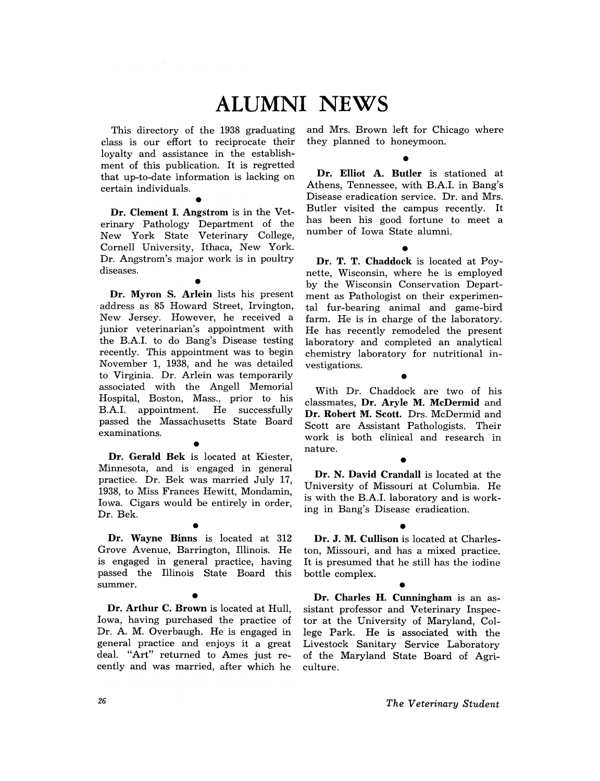# **ALUMNI NEWS**

This directory of the 1938 graduating class is our effort to reciprocate their loyalty and assistance in the establishment of this publication. It is regretted that up-to-date information is lacking on certain individuals.

• Dr. Clement I. Angstrom is in the Veterinary Pathology Department of the New York State Veterinary College, Cornell University, Ithaca, New York. Dr. Angstrom's major work is in poultry diseases.

• Dr. Myron S. Arlein lists his present address as 85 Howard Street, Irvington, New Jersey. However, he received a junior veterinarian's appointment with the B.AI. to do Bang's Disease testing recently. This appointment was to begin November 1, 1938, and he was detailed to Virginia. Dr. Arlein was temporarily associated with the Angell Memorial Hospital, Boston, Mass., prior to his B.AI. appointment. He successfully passed the Massachusetts State Board examinations.

• Dr. Gerald Bek is located at Kiester, Minnesota, and is engaged in general practice. Dr. Bek was married July 17, 1938, to Miss Frances Hewitt, Mondamin, Iowa. Cigars would be entirely in order, Dr. Bek.

• Dr. Wayne Binns is located at 312 Grove Avenue, Barrington, Illinois. He is engaged in general practice, having passed the Illinois State Board this summer.

• Dr. Arthur C. Brown is located at Hull, Iowa, having purchased the practice of Dr. A. M. Overbaugh. He is engaged in general practice and enjoys it a great deal. "Art" returned to Ames just recently and was married, after which he

and Mrs. Brown left for Chicago where they planned to honeymoon.

## •

Dr. Elliot A. Butler is stationed at Athens, Tennessee, with B.A.I. in Bang's Disease eradication service. Dr. and Mrs. Butler visited the campus recently. It has been his good fortune to meet a number of Iowa State alumni.

• Dr. T. T. Chaddock is located at Poynette, Wisconsin, where he is employed by the Wisconsin Conservation Department as Pathologist on their experimental fur-bearing animal and game-bird farm. He is in charge of the laboratory. He has recently remodeled the present laboratory and completed an analytical chemistry laboratory for nutritional investigations. •

With Dr. Chaddock are two of his classmates, Dr. Aryle M. McDermid and Dr. Robert M. Scott. Drs. McDermid and Scott are Assistant Pathologists. Their work is both clinical and research in nature. •

### Dr. N. David Crandall is located at the University of Missouri at Columbia. He is with the B.A.I. laboratory and is working in Bang's Disease eradication.

• Dr. J. M. Cullison is located at Charleston, Missouri, and has a mixed practice. It is presumed that he still has the iodine bottle complex.

• Dr. Charles H. Cunningham is an assistant professor and Veterinary Inspector at the University of Maryland, College Park. He is associated with the Livestock Sanitary Service Laboratory of the Maryland State Board of Agriculture.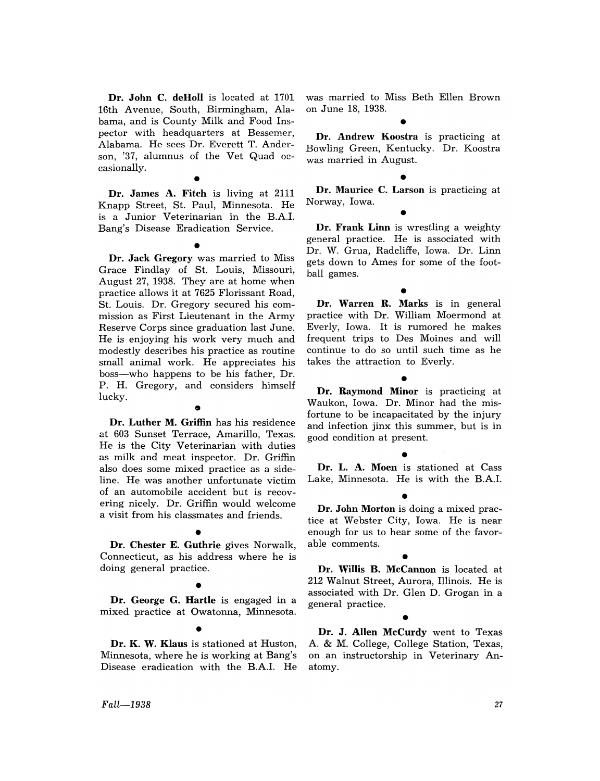Dr. John C. deHoll is located at 1701 16th Avenue, South, Birmingham, Alabama, and is County Milk and Food Inspector with headquarters at Bessemer, Alabama. He sees Dr. Everett T. Anderson, '37, alumnus of the Vet Quad occasionally.

•<br>. . Dr. James A. Fitch is living at 2111 Knapp Street, St. Paul, Minnesota. He is a Junior Veterinarian in the B.A.I. Bang's Disease Eradication Service.

• Dr. Jack Gregory was married to Miss Grace Findlay of St. Louis, Missouri, August 27, 1938. They are at home when practice allows it at 7625 Florissant Road, St. Louis. Dr. Gregory secured his commission as First Lieutenant in the Army Reserve Corps since graduation last June. He is enjoying his work very much and modestly describes his practice as routine small animal work. He appreciates his boss-who happens to be his father, Dr. P. H. Gregory, and considers himself lucky.

### $\bullet$

Dr. Luther M. Griffin has his residence at 603 Sunset Terrace, Amarillo, Texas. He is the City Veterinarian with duties as milk and meat inspector. Dr. Griffin also does some mixed practice as a sideline. He was another unfortunate victim of an automobile accident but is recovering nicely. Dr. Griffin would welcome a visit from his classmates and friends.

• Dr. Chester E. Guthrie gives Norwalk, Connecticut, as his address where he is doing general practice.

## •

Dr. George G. Hartle is engaged in a mixed practice at Owatonna, Minnesota.

• Dr. K. W. Klaus is stationed at Huston, Minnesota, where he is working at Bang's Disease eradication with the B.A.I. He was married to Miss Beth Ellen Brown on June 18, 1938.

## •

Dr. Andrew Koostra is practicing at Bowling Green, Kentucky. Dr. Koostra was married in August.

• Dr. Maurice C. Larson is practicing at Norway, Iowa.

•

Dr. Frank Linn is wrestling a weighty general practice. He is associated with Dr. W. Grua, Radcliffe, Iowa. Dr. Linn gets down to Ames for some of the football games.

• Dr. Warren R. Marks is in general practice with Dr. William Moermond at Everly, Iowa. It is rumored he makes frequent trips to Des Moines and will continue to do so until such time as he takes the attraction to Everly.

• Dr. Raymond Minor is practicing at Waukon, Iowa. Dr. Minor had the misfortune to be incapacitated by the injury and infection jinx this summer, but is in good condition at present.

• Dr. L. A. Moen is stationed at Cass Lake, Minnesota. He is with the B.A.I.

• Dr. John Morton is doing a mixed practice at Webster City, Iowa. He is near enough for us to hear some of the favorable comments.

• Dr. Willis B. McCannon is located at 212 Walnut Street, Aurora, Illinois. He is associated with Dr. Glen D. Grogan in a general practice.

## •

Dr. J. Allen McCurdy went to Texas A. & M. College, College Station, Texas, on an instructorship in Veterinary Anatomy.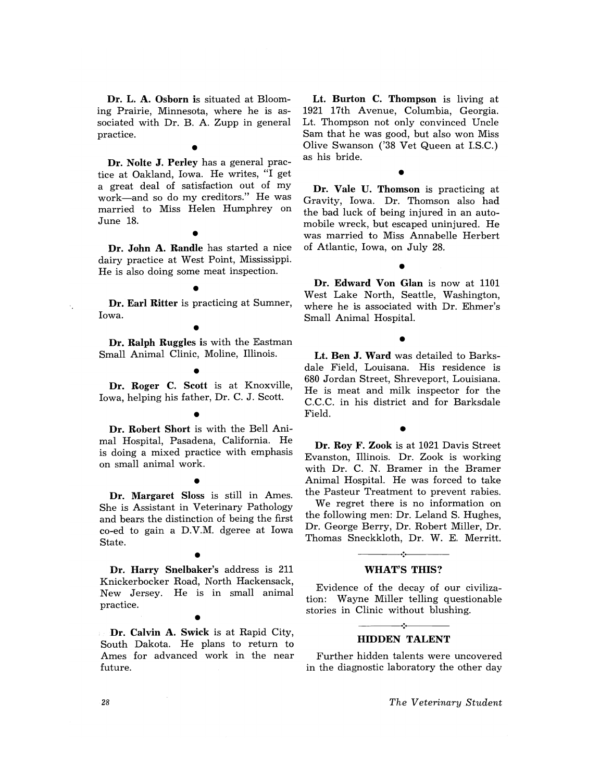Dr. L. A. Osborn is situated at Blooming Prairie, Minnesota, where he is associated with Dr. B. A. Zupp in general practice.

•

Dr. Nolte J. Perley has a general practice at Oakland, Iowa. He writes, "I get a great deal of satisfaction out of my work-and so do my creditors." He was married to Miss Helen Humphrey on June 18.

•<br>.. Dr. John A. Randle has started a nice dairy practice at West Point, Mississippi. He is also doing some meat inspection.

• Dr. Earl Ritter is practicing at Sumner, Iowa.

 $\bullet$ .

Dr. Ralph Ruggles is with the Eastman Small Animal Clinic, Moline, Illinois.

• Dr. Roger C. Scott is at Knoxville, Iowa, helping his father, Dr. C. J. Scott.

• Dr. Robert Short is with the Bell Animal Hospital, Pasadena, California. He is doing a mixed practice with emphasis on small animal work.

• Dr. Margaret Sloss is still in Ames. She is Assistant in Veterinary Pathology and bears the distinction of being the first co-ed to gain a D.V.M. dgeree at Iowa State.

 $\bullet$ Dr. Harry Snelbaker's address is 211 Knickerbocker Road, North Hackensack, New Jersey. He is in small animal practice.

 $\bullet$ <br> $\cdot$   $\cdot$ Dr. Calvin A. Swick is at Rapid City, South Dakota. He plans to return to Ames for advanced work in the near future.

Lt. Burton C. Thompson is living at 1921 17th Avenue, Columbia, Georgia. Lt. Thompson not only convinced Uncle Sam that he was good, but also won Miss Olive Swanson ('38 Vet Queen at LS.C.) as his bride.

• Dr. Vale U. Thomson is practicing at Gravity, Iowa. Dr. Thomson also had the bad luck of being injured in an automobile wreck, but escaped uninjured. He was married to Miss Annabelle Herbert of Atlantic, Iowa, on July 28.

•

Dr. Edward Von Glan is now at 1101 West Lake North, Seattle, Washington, where he is associated with Dr. Ehmer's Small Animal Hospital.

•

Lt. Ben J. Ward was detailed to Barksdale Field, Louisana. His residence is 680 Jordan Street, Shreveport, Louisiana. He is meat and milk inspector for the C.C.C. in his district and for Barksdale Field.

• Dr. Roy F. Zook is at 1021 Davis Street Evanston, Illinois. Dr. Zook is working with Dr. C. N. Bramer in the Bramer Animal Hospital. He was forced to take the Pasteur Treatment to prevent rabies.

We regret there is no information on the following men: Dr. Leland S. Hughes, Dr. George Berry, Dr. Robert Miller, Dr. Thomas Sneckkloth, Dr. W. E. Merritt.

## $\mathbf{A}$ WHAT'S THIS?

Evidence of the decay of our civilization: Wayne Miller telling questionable stories in Clinic without blushing.

### -----~ .• ~------ HIDDEN TALENT

Further hidden talents were uncovered in the diagnostic laboratory the other day

*The Veterinary Student*